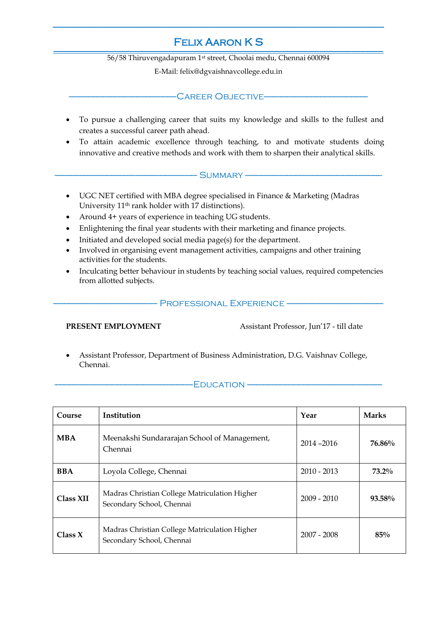#### Felix Aaron K S \_\_\_\_\_\_\_\_\_\_\_\_\_\_\_\_\_\_\_\_\_\_\_\_\_\_\_\_\_\_\_\_\_\_\_\_\_\_\_\_\_\_\_\_\_\_\_\_\_ **\_\_\_\_\_\_\_\_\_\_\_\_\_\_\_\_\_\_\_\_\_\_\_\_\_\_\_\_\_\_\_\_\_\_\_\_\_\_\_\_\_\_\_\_\_\_\_\_\_** \_\_\_\_\_\_\_\_\_\_\_\_\_\_\_\_\_\_\_\_\_\_\_\_\_\_\_\_\_\_\_\_\_\_\_\_\_\_\_\_\_\_\_\_\_\_\_\_\_\_\_\_\_\_\_\_\_\_\_\_\_\_\_\_\_\_\_\_\_\_\_\_\_\_\_\_\_\_\_\_\_\_\_\_\_\_\_\_\_\_\_\_\_\_\_\_\_\_\_\_\_\_\_\_\_\_\_\_\_\_\_\_\_\_\_\_\_\_\_\_\_\_\_\_\_\_\_\_\_\_\_\_\_\_\_\_\_\_\_\_\_\_\_\_\_\_\_\_\_\_\_\_\_\_\_\_\_\_\_\_\_\_ **\_\_\_\_\_\_\_\_\_\_\_\_\_\_\_\_\_\_\_\_\_\_\_\_** \_\_\_\_\_\_\_\_\_\_\_\_\_\_\_\_\_\_\_\_\_\_\_\_\_\_\_\_\_\_\_\_\_\_\_\_\_\_\_\_\_\_\_\_\_\_\_\_\_\_\_\_\_\_\_\_\_\_\_\_\_\_\_\_\_\_\_\_\_\_\_\_\_\_\_\_\_\_\_\_\_\_\_\_\_\_\_\_\_

**\_\_\_\_\_\_\_\_\_\_\_\_\_\_\_\_\_\_\_\_\_\_\_\_\_\_\_\_\_\_\_\_\_\_\_\_\_\_\_\_\_\_\_\_\_\_\_\_\_\_\_\_\_\_\_\_\_\_\_\_\_\_\_\_\_\_\_\_\_\_\_\_\_**

56/58 Thiruvengadapuram 1st street, Choolai medu, Chennai 600094

E-Mail: [felix@dgvaishnavcollege.edu.in](mailto:felix@dgvaishnavcollege.edu.in)

## CAREER OBJECTIVE-

- To pursue a challenging career that suits my knowledge and skills to the fullest and creates a successful career path ahead.
- To attain academic excellence through teaching, to and motivate students doing innovative and creative methods and work with them to sharpen their analytical skills.

#### $\cdot$  SUMMARY --

- UGC NET certified with MBA degree specialised in Finance & Marketing (Madras University 11th rank holder with 17 distinctions).
- Around 4+ years of experience in teaching UG students.
- Enlightening the final year students with their marketing and finance projects.
- Initiated and developed social media page(s) for the department.
- Involved in organising event management activities, campaigns and other training activities for the students.
- Inculcating better behaviour in students by teaching social values, required competencies from allotted subjects.

### - PROFESSIONAL EXPERIENCE -

**PRESENT EMPLOYMENT** Assistant Professor, Jun'17 - till date

 Assistant Professor, Department of Business Administration, D.G. Vaishnav College, Chennai.

#### $-FDUCATION -$

| Course     | Institution                                                                | Year          | <b>Marks</b> |
|------------|----------------------------------------------------------------------------|---------------|--------------|
| <b>MBA</b> | Meenakshi Sundararajan School of Management,<br>Chennai                    | 2014-2016     | 76.86%       |
| <b>BBA</b> | Loyola College, Chennai                                                    | $2010 - 2013$ | $73.2\%$     |
| Class XII  | Madras Christian College Matriculation Higher<br>Secondary School, Chennai | $2009 - 2010$ | $93.58\%$    |
| Class X    | Madras Christian College Matriculation Higher<br>Secondary School, Chennai | $2007 - 2008$ | 85%          |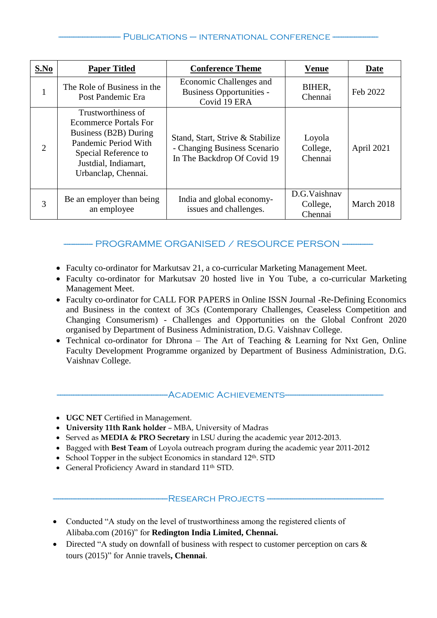### PUBLICATIONS – INTERNATIONAL CONFERENCE -

| S.No           | <b>Paper Titled</b>                                                                                                                                                        | <b>Conference Theme</b>                                                                         | <b>Venue</b>                        | Date       |
|----------------|----------------------------------------------------------------------------------------------------------------------------------------------------------------------------|-------------------------------------------------------------------------------------------------|-------------------------------------|------------|
| 1              | The Role of Business in the<br>Post Pandemic Era                                                                                                                           | Economic Challenges and<br><b>Business Opportunities -</b><br>Covid 19 ERA                      | BIHER,<br>Chennai                   | Feb 2022   |
| $\overline{2}$ | Trustworthiness of<br><b>Ecommerce Portals For</b><br>Business (B2B) During<br>Pandemic Period With<br>Special Reference to<br>Justdial, Indiamart,<br>Urbanclap, Chennai. | Stand, Start, Strive & Stabilize<br>- Changing Business Scenario<br>In The Backdrop Of Covid 19 | Loyola<br>College,<br>Chennai       | April 2021 |
| 3              | Be an employer than being<br>an employee                                                                                                                                   | India and global economy-<br>issues and challenges.                                             | D.G.Vaishnav<br>College,<br>Chennai | March 2018 |

# - PROGRAMME ORGANISED / RESOURCE PERSON -----

- Faculty co-ordinator for Markutsav 21, a co-curricular Marketing Management Meet.
- Faculty co-ordinator for Markutsav 20 hosted live in You Tube, a co-curricular Marketing Management Meet.
- Faculty co-ordinator for CALL FOR PAPERS in Online ISSN Journal -Re-Defining Economics and Business in the context of 3Cs (Contemporary Challenges, Ceaseless Competition and Changing Consumerism) - Challenges and Opportunities on the Global Confront 2020 organised by Department of Business Administration, D.G. Vaishnav College.
- Technical co-ordinator for Dhrona The Art of Teaching & Learning for Nxt Gen, Online Faculty Development Programme organized by Department of Business Administration, D.G. Vaishnav College.

#### -ACADEMIC ACHIEVEMENTS-

- **UGC NET** Certified in Management.
- **University 11th Rank holder**  MBA, University of Madras
- Served as **MEDIA & PRO Secretary** in LSU during the academic year 2012-2013.
- Bagged with **Best Team** of Loyola outreach program during the academic year 2011-2012
- School Topper in the subject Economics in standard  $12<sup>th</sup>$ . STD
- General Proficiency Award in standard 11<sup>th</sup> STD.

#### -RESEARCH PROJECTS -

- Conducted "A study on the level of trustworthiness among the registered clients of Alibaba.com (2016)" for **Redington India Limited, Chennai.**
- Directed "A study on downfall of business with respect to customer perception on cars & tours (2015)" for Annie travels**, Chennai**.